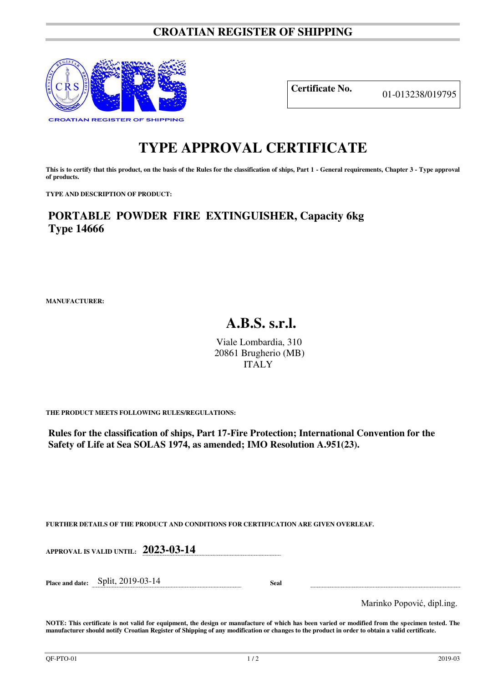## **CROATIAN REGISTER OF SHIPPING**



**Certificate No.** 01-013238/019795

## **TYPE APPROVAL CERTIFICATE**

This is to certify that this product, on the basis of the Rules for the classification of ships, Part 1 - General requirements, Chapter 3 - Type approval **of products.** 

**TYPE AND DESCRIPTION OF PRODUCT:** 

**PORTABLE POWDER FIRE EXTINGUISHER, Capacity 6kg Type 14666**

**MANUFACTURER:**

## **A.B.S. s.r.l.**

Viale Lombardia, 310 20861 Brugherio (MB) ITALY

**THE PRODUCT MEETS FOLLOWING RULES/REGULATIONS:**

**Rules for the classification of ships, Part 17-Fire Protection; International Convention for the Safety of Life at Sea SOLAS 1974, as amended; IMO Resolution A.951(23).**

**FURTHER DETAILS OF THE PRODUCT AND CONDITIONS FOR CERTIFICATION ARE GIVEN OVERLEAF.**

| APPROVAL IS VALID UNTIL: 2023-03-14  |  |  |      |  |  |
|--------------------------------------|--|--|------|--|--|
|                                      |  |  |      |  |  |
| Place and date: $Split$ , 2019-03-14 |  |  | Seal |  |  |

Marinko Popović, dipl.ing.

**NOTE: This certificate is not valid for equipment, the design or manufacture of which has been varied or modified from the specimen tested. The manufacturer should notify Croatian Register of Shipping of any modification or changes to the product in order to obtain a valid certificate.**